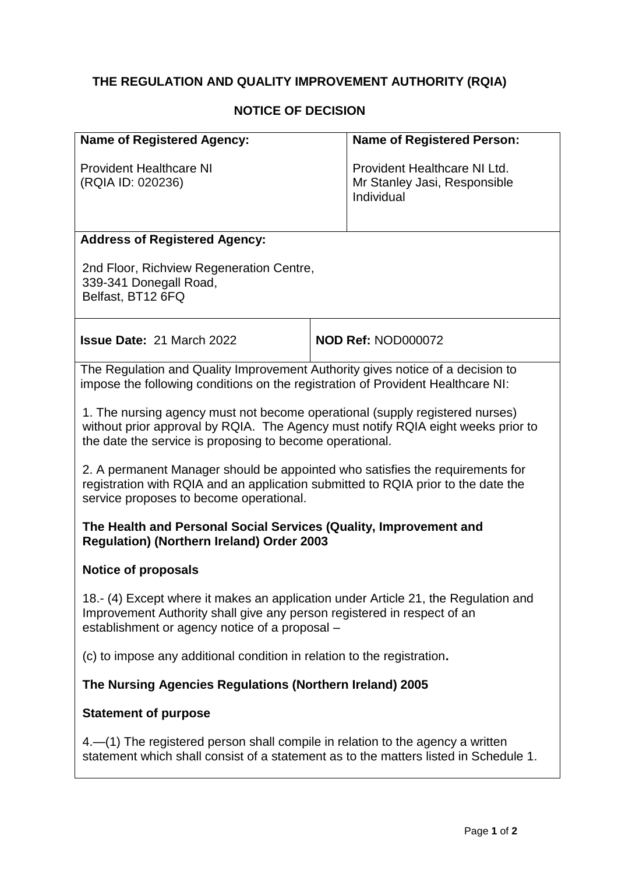# **THE REGULATION AND QUALITY IMPROVEMENT AUTHORITY (RQIA)**

## **NOTICE OF DECISION**

| <b>Name of Registered Agency:</b>                   | <b>Name of Registered Person:</b>                                          |
|-----------------------------------------------------|----------------------------------------------------------------------------|
| <b>Provident Healthcare NI</b><br>(RQIA ID: 020236) | Provident Healthcare NI Ltd.<br>Mr Stanley Jasi, Responsible<br>Individual |

## **Address of Registered Agency:**

2nd Floor, Richview Regeneration Centre, 339-341 Donegall Road, Belfast, BT12 6FQ

| <b>Issue Date: 21 March 2022</b> | NOD Ref: NOD000072 |
|----------------------------------|--------------------|
|                                  |                    |

The Regulation and Quality Improvement Authority gives notice of a decision to impose the following conditions on the registration of Provident Healthcare NI:

1. The nursing agency must not become operational (supply registered nurses) without prior approval by RQIA. The Agency must notify RQIA eight weeks prior to the date the service is proposing to become operational.

2. A permanent Manager should be appointed who satisfies the requirements for registration with RQIA and an application submitted to RQIA prior to the date the service proposes to become operational.

## **The Health and Personal Social Services (Quality, Improvement and Regulation) (Northern Ireland) Order 2003**

## **Notice of proposals**

18.- (4) Except where it makes an application under Article 21, the Regulation and Improvement Authority shall give any person registered in respect of an establishment or agency notice of a proposal –

(c) to impose any additional condition in relation to the registration**.**

## **The Nursing Agencies Regulations (Northern Ireland) 2005**

#### **Statement of purpose**

4.—(1) The registered person shall compile in relation to the agency a written statement which shall consist of a statement as to the matters listed in Schedule 1.